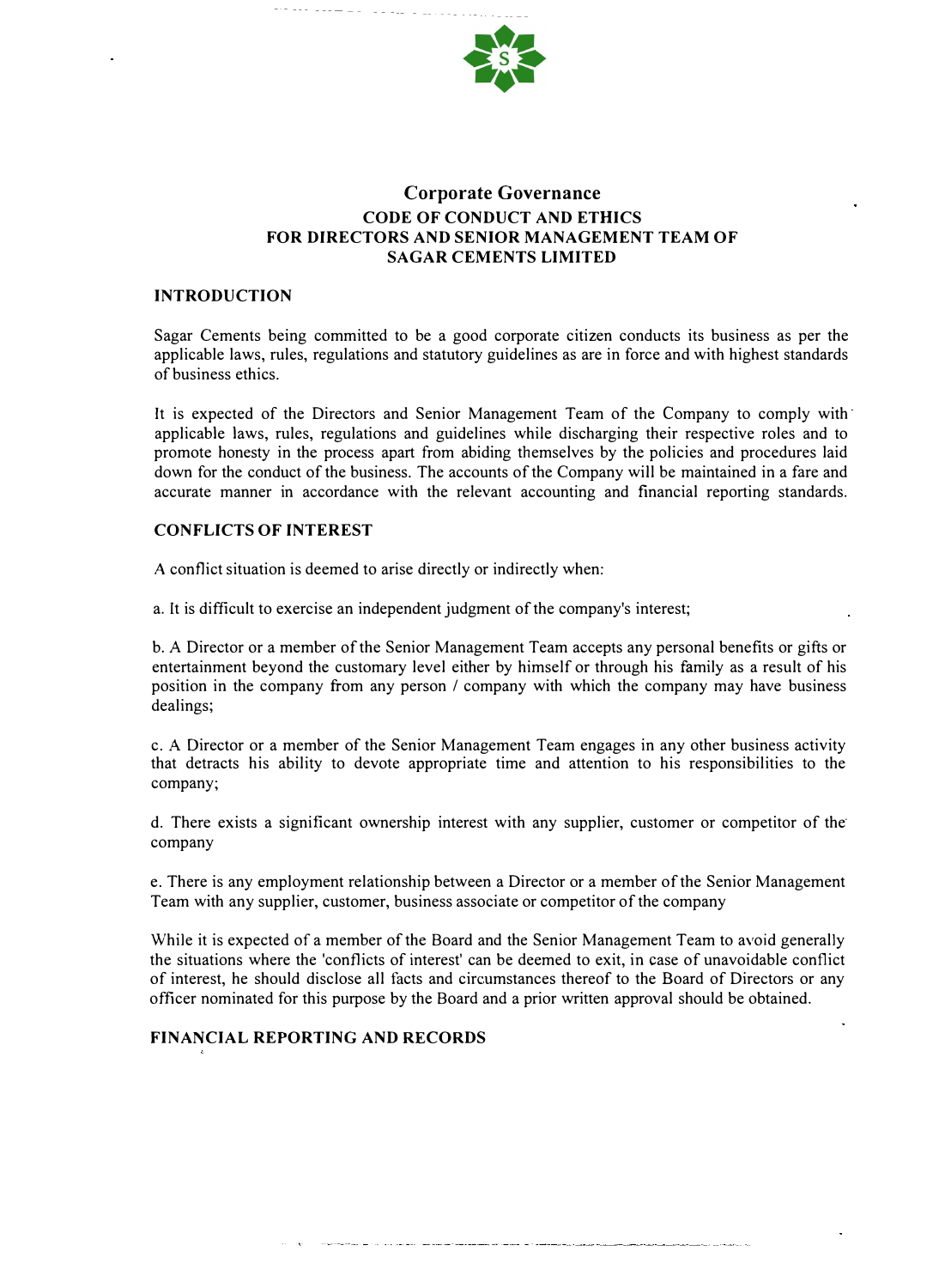

# **Corporate Governance CODE OF CONDUCT AND ETHICS FOR DIRECTORS AND SENIOR MANAGEMENT TEAM OF SAGAR CEMENTS LIMITED**

#### **INTRODUCTION**

Sagar Cements being committed to be a good corporate citizen conducts its business as per the applicable laws, rules, regulations and statutory guidelines as are in force and with highest standards of business ethics.

It is expected of the Directors and Senior Management Team of the Company to comply with· applicable laws, rules, regulations and guidelines while discharging their respective roles and to promote honesty in the process apart from abiding themselves by the policies and procedures laid down for the conduct of the business. The accounts of the Company will be maintained in a fare and accurate manner in accordance with the relevant accounting and financial reporting standards.

### **CONFLICTS OF INTEREST**

A conflict situation is deemed to arise directly or indirectly when:

a. It is difficult to exercise an independent judgment of the company's interest;

b. A Director or a member of the Senior Management Team accepts any personal benefits or gifts or entertainment beyond the customary level either by himself or through his family as a result of his position in the company from any person / company with which the company may have business dealings;

c. A Director or a member of the Senior Management Team engages in any other business activity that detracts his ability to devote appropriate time and attention to his responsibilities to the company;

d. There exists a significant ownership interest with any supplier, customer or competitor of the· company

e. There is any employment relationship between a Director or a member of the Senior Management Team with any supplier, customer, business associate or competitor of the company

While it is expected of a member of the Board and the Senior Management Team to avoid generally the situations where the 'conflicts of interest' can be deemed to exit, in case of unavoidable conflict of interest, he should disclose all facts and circumstances thereof to the Board of Directors or any officer nominated for this purpose by the Board and a prior written approval should be obtained.

### **FINANCIAL REPORTING AND RECORDS**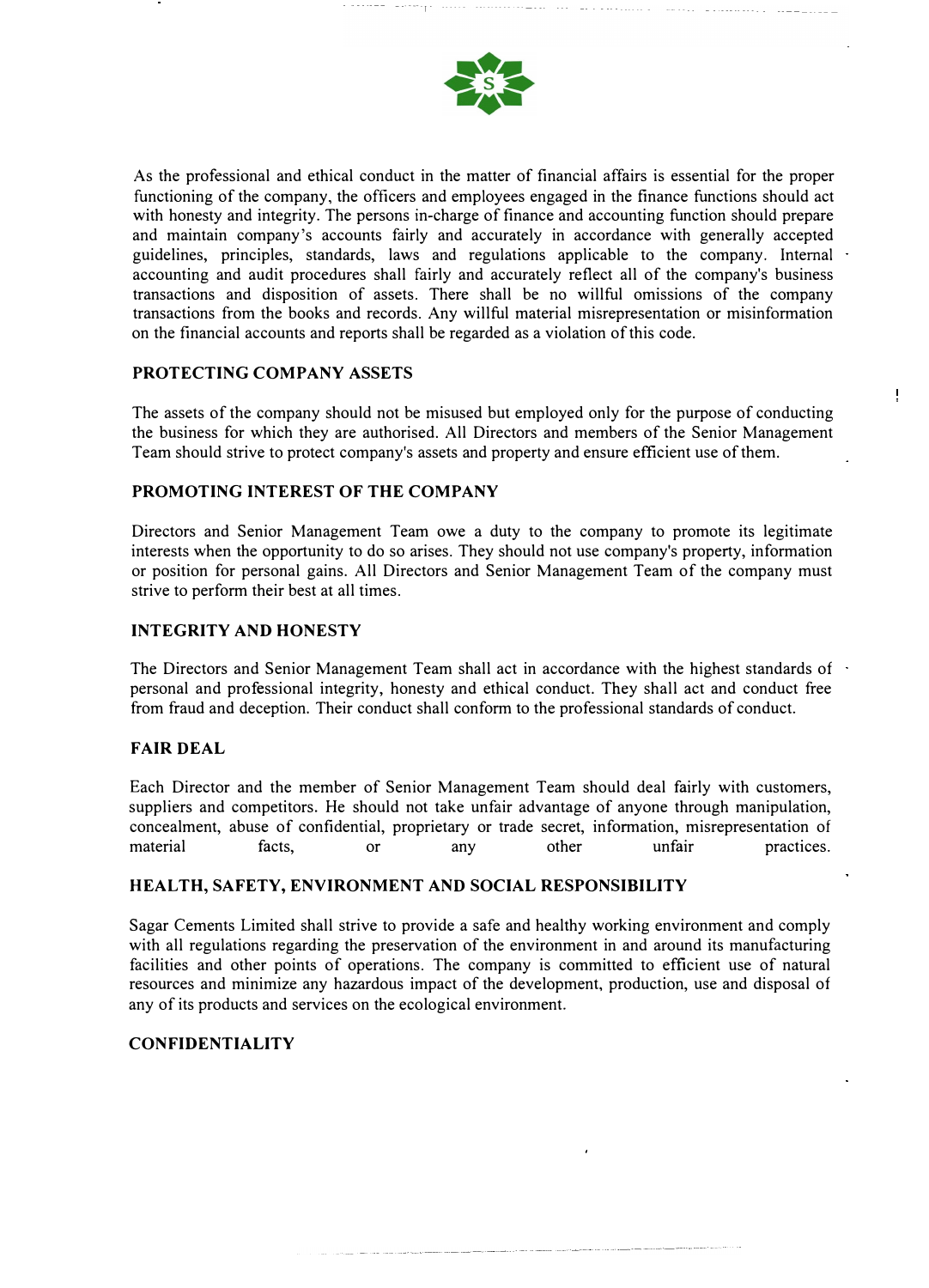

---- r

As the professional and ethical conduct in the matter of financial affairs is essential for the proper functioning of the company, the officers and employees engaged in the finance functions should act with honesty and integrity. The persons in-charge of finance and accounting function should prepare and maintain company's accounts fairly and accurately in accordance with generally accepted guidelines, principles, standards, laws and regulations applicable to the company. Internal accounting and audit procedures shall fairly and accurately reflect all of the company's business transactions and disposition of assets. There shall be no willful omissions of the company transactions from the books and records. Any willful material misrepresentation or misinformation on the financial accounts and reports shall be regarded as a violation of this code.

### **PROTECTING COMPANY ASSETS**

The assets of the company should not be misused but employed only for the purpose of conducting the business for which they are authorised. All Directors and members of the Senior Management Team should strive to protect company's assets and property and ensure efficient use of them.

Ţ

### **PROMOTING INTEREST OF THE COMPANY**

Directors and Senior Management Team owe a duty to the company to promote its legitimate interests when the opportunity to do so arises. They should not use company's property, information or position for personal gains. All Directors and Senior Management Team of the company must strive to perform their best at all times.

### **INTEGRITY AND HONESTY**

The Directors and Senior Management Team shall act in accordance with the highest standards of personal and professional integrity, honesty and ethical conduct. They shall act and conduct free from fraud and deception. Their conduct shall conform to the professional standards of conduct.

## **FAIR DEAL**

Each Director and the member of Senior Management Team should deal fairly with customers, suppliers and competitors. He should not take unfair advantage of anyone through manipulation, concealment, abuse of confidential, proprietary or trade secret, information, misrepresentation of material facts, or any other unfair practices.

### **HEAL TH, SAFETY, ENVIRONMENT AND SOCIAL RESPONSIBILITY**

Sagar Cements Limited shall strive to provide a safe and healthy working environment and comply with all regulations regarding the preservation of the environment in and around its manufacturing facilities and other points of operations. The company is committed to efficient use of natural resources and minimize any hazardous impact of the development, production, use and disposal of any of its products and services on the ecological environment.

### **CONFIDENTIALITY**